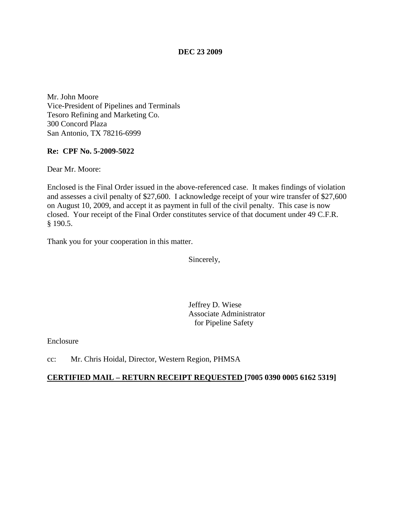## **DEC 23 2009**

Mr. John Moore Vice-President of Pipelines and Terminals Tesoro Refining and Marketing Co. 300 Concord Plaza San Antonio, TX 78216-6999

## **Re: CPF No. 5-2009-5022**

Dear Mr. Moore:

Enclosed is the Final Order issued in the above-referenced case. It makes findings of violation and assesses a civil penalty of \$27,600. I acknowledge receipt of your wire transfer of \$27,600 on August 10, 2009, and accept it as payment in full of the civil penalty. This case is now closed. Your receipt of the Final Order constitutes service of that document under 49 C.F.R. § 190.5.

Thank you for your cooperation in this matter.

Sincerely,

Jeffrey D. Wiese Associate Administrator for Pipeline Safety

Enclosure

cc: Mr. Chris Hoidal, Director, Western Region, PHMSA

## **CERTIFIED MAIL – RETURN RECEIPT REQUESTED [7005 0390 0005 6162 5319]**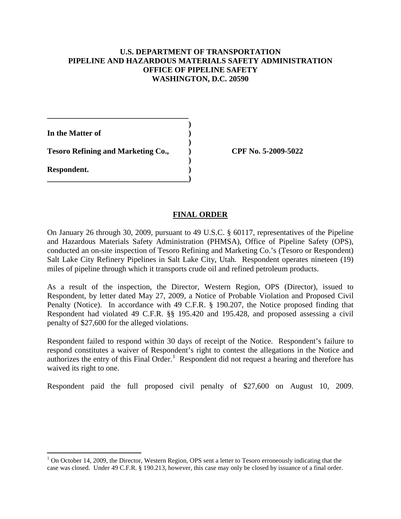## **U.S. DEPARTMENT OF TRANSPORTATION PIPELINE AND HAZARDOUS MATERIALS SAFETY ADMINISTRATION OFFICE OF PIPELINE SAFETY WASHINGTON, D.C. 20590**

**)**

 **)**

 **)**

**In the Matter of )**

**\_\_\_\_\_\_\_\_\_\_\_\_\_\_\_\_\_\_\_\_\_\_\_\_\_\_\_\_\_\_\_\_\_\_\_\_**

**\_\_\_\_\_\_\_\_\_\_\_\_\_\_\_\_\_\_\_\_\_\_\_\_\_\_\_\_\_\_\_\_\_\_\_\_)**

**Respondent. )**

**Tesoro Refining and Marketing Co., ) CPF No. 5-2009-5022**

# **FINAL ORDER**

On January 26 through 30, 2009, pursuant to 49 U.S.C. § 60117, representatives of the Pipeline and Hazardous Materials Safety Administration (PHMSA), Office of Pipeline Safety (OPS), conducted an on-site inspection of Tesoro Refining and Marketing Co.'s (Tesoro or Respondent) Salt Lake City Refinery Pipelines in Salt Lake City, Utah. Respondent operates nineteen (19) miles of pipeline through which it transports crude oil and refined petroleum products.

As a result of the inspection, the Director, Western Region, OPS (Director), issued to Respondent, by letter dated May 27, 2009, a Notice of Probable Violation and Proposed Civil Penalty (Notice). In accordance with 49 C.F.R. § 190.207, the Notice proposed finding that Respondent had violated 49 C.F.R. §§ 195.420 and 195.428, and proposed assessing a civil penalty of \$27,600 for the alleged violations.

Respondent failed to respond within 30 days of receipt of the Notice. Respondent's failure to respond constitutes a waiver of Respondent's right to contest the allegations in the Notice and authorizes the entry of this Final Order.<sup>[1](#page-1-0)</sup> Respondent did not request a hearing and therefore has waived its right to one.

Respondent paid the full proposed civil penalty of \$27,600 on August 10, 2009.

<span id="page-1-0"></span> $1$  On October 14, 2009, the Director, Western Region, OPS sent a letter to Tesoro erroneously indicating that the case was closed. Under 49 C.F.R. § 190.213, however, this case may only be closed by issuance of a final order.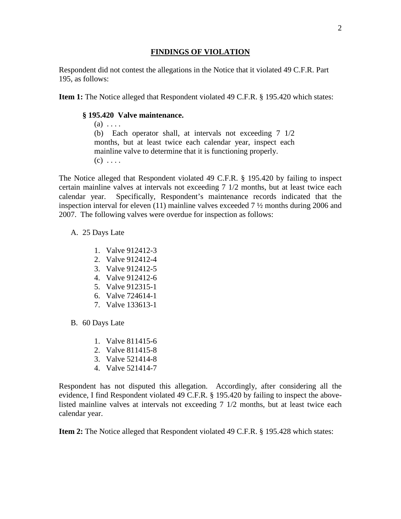#### **FINDINGS OF VIOLATION**

Respondent did not contest the allegations in the Notice that it violated 49 C.F.R. Part 195, as follows:

**Item 1:** The Notice alleged that Respondent violated 49 C.F.R. § 195.420 which states:

## **§ 195.420 Valve maintenance.**

 $(a) \ldots$ (b) Each operator shall, at intervals not exceeding 7 1/2 months, but at least twice each calendar year, inspect each mainline valve to determine that it is functioning properly.  $(c)$  ...

The Notice alleged that Respondent violated 49 C.F.R. § 195.420 by failing to inspect certain mainline valves at intervals not exceeding 7 1/2 months, but at least twice each calendar year. Specifically, Respondent's maintenance records indicated that the inspection interval for eleven (11) mainline valves exceeded 7 ½ months during 2006 and 2007. The following valves were overdue for inspection as follows:

#### A. 25 Days Late

- 1. Valve 912412-3
- 2. Valve 912412-4
- 3. Valve 912412-5
- 4. Valve 912412-6
- 5. Valve 912315-1
- 6. Valve 724614-1
- 7. Valve 133613-1
- B. 60 Days Late
	- 1. Valve 811415-6
	- 2. Valve 811415-8
	- 3. Valve 521414-8
	- 4. Valve 521414-7

Respondent has not disputed this allegation. Accordingly, after considering all the evidence, I find Respondent violated 49 C.F.R. § 195.420 by failing to inspect the abovelisted mainline valves at intervals not exceeding 7 1/2 months, but at least twice each calendar year.

**Item 2:** The Notice alleged that Respondent violated 49 C.F.R. § 195.428 which states: